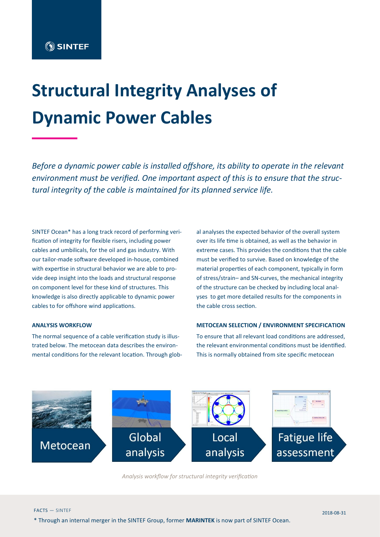# **Structural Integrity Analyses of Dynamic Power Cables**

*Before a dynamic power cable is installed offshore, its ability to operate in the relevant environment must be verified. One important aspect of this is to ensure that the structural integrity of the cable is maintained for its planned service life.* 

SINTEF Ocean\* has a long track record of performing verification of integrity for flexible risers, including power cables and umbilicals, for the oil and gas industry. With our tailor-made software developed in-house, combined with expertise in structural behavior we are able to provide deep insight into the loads and structural response on component level for these kind of structures. This knowledge is also directly applicable to dynamic power cables to for offshore wind applications.

#### **ANALYSIS WORKFLOW**

The normal sequence of a cable verification study is illustrated below. The metocean data describes the environmental conditions for the relevant location. Through global analyses the expected behavior of the overall system over its life time is obtained, as well as the behavior in extreme cases. This provides the conditions that the cable must be verified to survive. Based on knowledge of the material properties of each component, typically in form of stress/strain– and SN-curves, the mechanical integrity of the structure can be checked by including local analyses to get more detailed results for the components in the cable cross section.

#### **METOCEAN SELECTION / ENVIRONMENT SPECIFICATION**

To ensure that all relevant load conditions are addressed, the relevant environmental conditions must be identified. This is normally obtained from site specific metocean



*Analysis workflow for structural integrity verification*

\* Through an internal merger in the SINTEF Group, former **MARINTEK** is now part of SINTEF Ocean.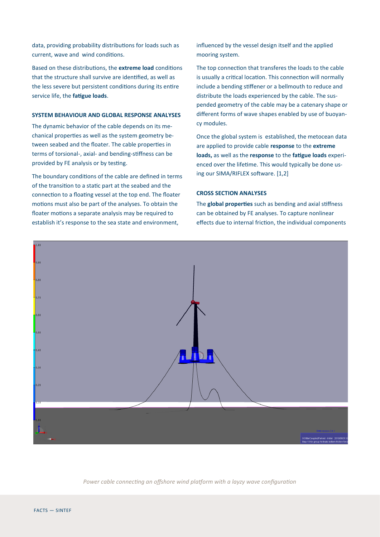data, providing probability distributions for loads such as current, wave and wind conditions.

Based on these distributions, the **extreme load** conditions that the structure shall survive are identified, as well as the less severe but persistent conditions during its entire service life, the **fatigue loads**.

# **SYSTEM BEHAVIOUR AND GLOBAL RESPONSE ANALYSES**

The dynamic behavior of the cable depends on its mechanical properties as well as the system geometry between seabed and the floater. The cable properties in terms of torsional-, axial- and bending-stiffness can be provided by FE analysis or by testing.

The boundary conditions of the cable are defined in terms of the transition to a static part at the seabed and the connection to a floating vessel at the top end. The floater motions must also be part of the analyses. To obtain the floater motions a separate analysis may be required to establish it's response to the sea state and environment,

influenced by the vessel design itself and the applied mooring system.

The top connection that transferes the loads to the cable is usually a critical location. This connection will normally include a bending stiffener or a bellmouth to reduce and distribute the loads experienced by the cable. The suspended geometry of the cable may be a catenary shape or different forms of wave shapes enabled by use of buoyancy modules.

Once the global system is established, the metocean data are applied to provide cable **response** to the **extreme loads,** as well as the **response** to the **fatigue loads** experienced over the lifetime. This would typically be done using our SIMA/RIFLEX software. [1,2]

## **CROSS SECTION ANALYSES**

The **global properties** such as bending and axial stiffness can be obtained by FE analyses. To capture nonlinear effects due to internal friction, the individual components



*Power cable connecting an offshore wind platform with a layzy wave configuration*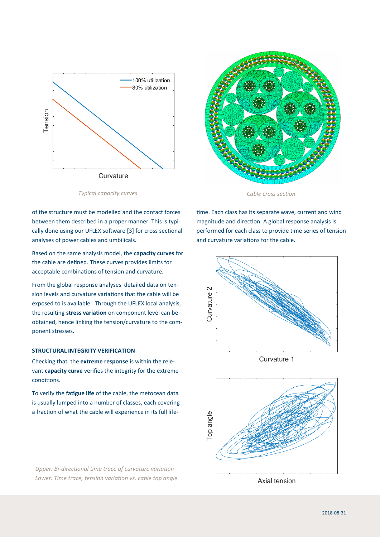



*Cable cross section*

of the structure must be modelled and the contact forces between them described in a proper manner. This is typically done using our UFLEX software [3] for cross sectional analyses of power cables and umbilicals.

*Typical capacity curves*

Based on the same analysis model, the **capacity curves** for the cable are defined. These curves provides limits for acceptable combinations of tension and curvature.

From the global response analyses detailed data on tension levels and curvature variations that the cable will be exposed to is available. Through the UFLEX local analysis, the resulting **stress variation** on component level can be obtained, hence linking the tension/curvature to the component stresses.

### **STRUCTURAL INTEGRITY VERIFICATION**

Checking that the **extreme response** is within the relevant **capacity curve** verifies the integrity for the extreme conditions.

To verify the **fatigue life** of the cable, the metocean data is usually lumped into a number of classes, each covering a fraction of what the cable will experience in its full life-

*Upper: Bi-directional time trace of curvature variation Lower: Time trace, tension variation vs. cable top angle* time. Each class has its separate wave, current and wind magnitude and direction. A global response analysis is performed for each class to provide time series of tension and curvature variations for the cable.





Axial tension